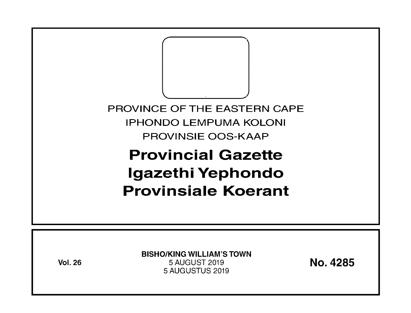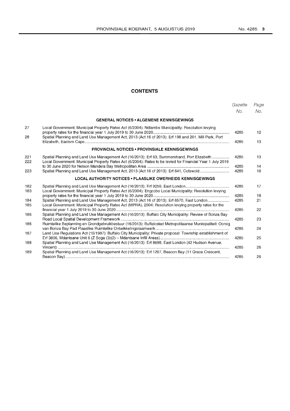#### **CONTENTS**

|            |                                                                                                                                                                                                            | Gazette<br>No. | Page<br>No. |
|------------|------------------------------------------------------------------------------------------------------------------------------------------------------------------------------------------------------------|----------------|-------------|
|            | <b>GENERAL NOTICES • ALGEMENE KENNISGEWINGS</b>                                                                                                                                                            |                |             |
| 27<br>28   | Local Government: Municipal Property Rates Act (6/2004): Ndlambe Municipality: Resolution levying<br>Spatial Planning and Land Use Management Act, 2013 (Act 16 of 2013): Erf 198 and 201, Mill Park, Port | 4285           | 12          |
|            |                                                                                                                                                                                                            | 4285           | 13          |
|            | <b>PROVINCIAL NOTICES • PROVINSIALE KENNISGEWINGS</b>                                                                                                                                                      |                |             |
| 221<br>222 | Spatial Planning and Land Use Management Act (16/2013): Erf 63, Summerstrand, Port Elizabeth<br>Local Government: Municipal Property Rates Act (6/2004): Rates to be levied for Financial Year 1 July 2019 | 4285           | 13          |
| 223        | Spatial Planning and Land Use Management Act, 2013 (Act 16 of 2013); Erf 641, Cotswold                                                                                                                     | 4285<br>4285   | 14<br>16    |
|            | <b>LOCAL AUTHORITY NOTICES . PLAASLIKE OWERHEIDS KENNISGEWINGS</b>                                                                                                                                         |                |             |
| 182<br>183 | Local Government: Municipal Property Rates Act (6/2004): Engcobo Local Municipality: Resolution levying                                                                                                    | 4285           | 17          |
|            |                                                                                                                                                                                                            | 4285           | 18          |
| 184<br>185 | Spatial Planning and Land Use Management Act, 2013 (Act 16 of 2013): Erf 6570, East London<br>Local Government: Municipal Property Rates Act (MPRA), 2004: Resolution levying property rates for the       | 4285<br>4285   | 21<br>22    |
| 186        | Spatial Planning and Land Use Management Act (16/2013): Buffalo City Municipality: Review of Bonza Bay                                                                                                     | 4285           | 23          |
| 186        | Ruimtelike Beplanning en Grondgebruikbestuur (16/2013): Buffalostad Metropolitaanse Munisipaliteit: Oorsig                                                                                                 | 4285           | 24          |
| 187        | Land Use Regulations Act (15/1987): Buffalo City Municipality: Private proposal: Township establishment of                                                                                                 | 4285           | 25          |
| 188        | Spatial Planning and Land Use Management Act (16/2013): Erf 8698, East London (42 Hudson Avenue,                                                                                                           | 4285           | 26          |
| 189        | Spatial Planning and Land Use Management Act (16/2013): Erf 1207, Beacon Bay (11 Grace Crescent,                                                                                                           | 4285           | 26          |
|            |                                                                                                                                                                                                            |                |             |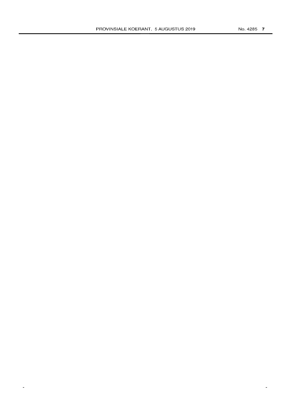$\bar{\mathbf{z}}$ 

 $\tilde{\phantom{a}}$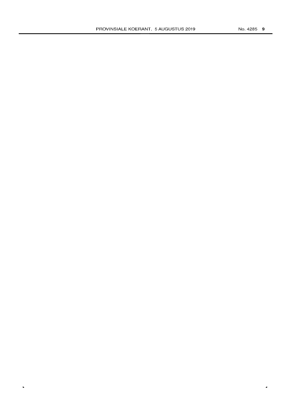$\hat{\mathbf{z}}$ 

 $\hat{\textbf{z}}$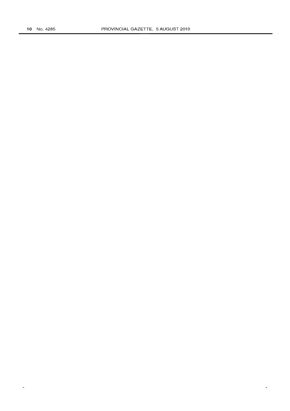$\Box$ 

 $\overline{\phantom{a}}$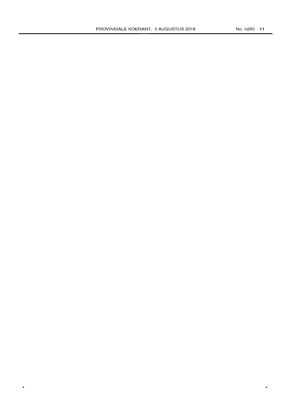$\hat{\mathbf{x}}$ 

 $\hat{\textbf{z}}$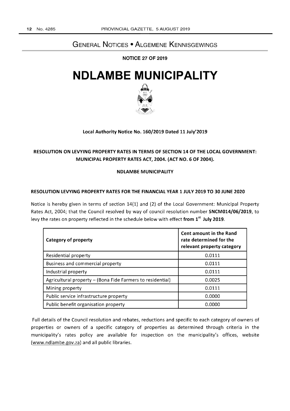## GENERAL NOTICES • ALGEMENE KENNISGEWINGS

#### NOTICE 27 OF 2019

# **NDLAMBE MUNICIPALITY**



#### Local Authority Notice No. 160/2019 Dated 11 July'2019

### RESOLUTION ON LEVYING PROPERTY RATES IN TERMS OF SECTION 14 OF THE LOCAL GOVERNMENT: MUNICIPAL PROPERTY RATES ACT, 2004. (ACT NO.6 OF 2004).

#### NDLAMBE MUNICIPALITY

#### RESOLUTION LEVYING PROPERTY RATES FOR THE FINANCIAL YEAR 1 JULY 2019 TO 30 JUNE 2020

Notice is hereby given in terms of section 14(1) and (2) of the Local Government: Municipal Property Rates Act, 2004; that the Council resolved by way of council resolution number SNCM014/06/2019, to levy the rates on property reflected in the schedule below with effect from 1<sup>st</sup> July 2019.

| <b>Category of property</b>                                | <b>Cent amount in the Rand</b><br>rate determined for the<br>relevant property category |
|------------------------------------------------------------|-----------------------------------------------------------------------------------------|
| Residential property                                       | 0.0111                                                                                  |
| Business and commercial property                           | 0.0111                                                                                  |
| Industrial property                                        | 0.0111                                                                                  |
| Agricultural property - (Bona Fide Farmers to residential) | 0.0025                                                                                  |
| Mining property                                            | 0.0111                                                                                  |
| Public service infrastructure property                     | 0.0000                                                                                  |
| Public benefit organisation property                       | 0.0000                                                                                  |

Full details of the Council resolution and rebates, reductions and specific to each category of owners of properties or owners of a specific category of properties as determined through criteria in the municipality's rates policy are available for inspection on the municipality's offices, website (www.ndlambe.gov.za) and all public libraries.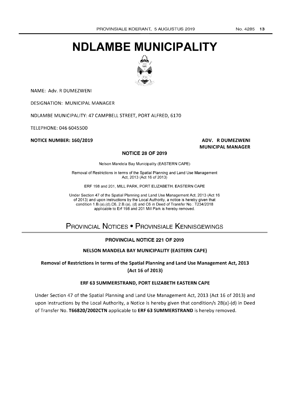**NDLAMBE MUNICIPALITY** 



NAME: Adv. R DUMEZWENI

DESIGNATION: MUNICIPAL MANAGER

NDLAMBE MUNICIPALITY: 47 CAMPBELL STREET, PORT ALFRED, 6170

TELEPHONE: 046 6045500

**NOTICE NUMBER: 160/2019 ADV. R DUMEZWENI** 

**MUNICIPAL MANAGER** 

#### **NOTICE 28 OF 2019**

Nelson Mandela Bay Municipality (EASTERN CAPE)

Removal of Restrictions in terms of the Spatial Planning and Land Use Management Act, 2013 (Act 16 of 2013)

ERF 198 and 201, MILL PARK, PORT ELIZABETH, EASTERN CAPE

Under Section 47 of the Spatial Planning and Land Use Management Act, 2013 (Act 16 of 2013) and upon instructions by the Local Authority, a notice is hereby given that condition 1.B.(a),(d),C6, 2.B.(a), (d) and C6 in Deed of Transfer No.: T234/2018 applicable to Erf 198 and 201 Mill Park is hereby removed.

**PROVINCIAL NOTICES • PROVINSIALE KENNISGEWINGS** 

#### **PROVINCIAL NOTICE 221 OF 2019**

#### **NELSON MANDELA BAY MUNICIPALITY (EASTERN CAPE)**

### **Removal of Restrictions in terms of the Spatial Planning and Land Use Management Act, 2013 (Act 16 of 2013)**

#### **ERF 63 SUMMERSTRAND, PORT ELIZABETH EASTERN CAPE**

Under Section 47 of the Spatial Planning and Land Use Management Act, 2013 (Act 16 of 2013) and upon instructions by the Local Authority, a Notice is hereby given that condition/s 2B(a)-(d) in Deed of Transfer No. **T66820/2002CTN** applicable to **ERF 63 SUMMERSTRAND** is hereby removed.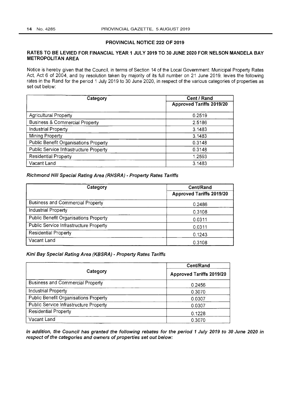#### PROVINCIAL NOTICE 222 OF 2019

#### RATES TO BE LEVIED FOR FINANCIAL YEAR 1 JULY 2019 TO 30 JUNE 2020 FOR NELSON MANDELA BAY METROPOLITAN AREA

Notice is hereby given that the Council, in terms of Section 14 of the Local Government: Municipal Property Rates Act, Act 6 of 2004, and by resolution taken by majority of its full number on 21 June 2019, levies the following rates in the Rand for the period 1 July 2019 to 30 June 2020, in respect of the various categories of properties as set out below:

| Category                                     | <b>Cent / Rand</b>              |  |
|----------------------------------------------|---------------------------------|--|
|                                              | <b>Approved Tariffs 2019/20</b> |  |
| <b>Agricultural Property</b>                 | 0.2519                          |  |
| <b>Business &amp; Commercial Property</b>    | 2.5186                          |  |
| <b>Industrial Property</b>                   | 3.1483                          |  |
| Mining Property                              | 3.1483                          |  |
| <b>Public Benefit Organisations Property</b> | 0.3148                          |  |
| Public Service Infrastructure Property       | 0.3148                          |  |
| <b>Residential Property</b>                  | 1.2593                          |  |
| Vacant Land                                  | 3.1483                          |  |

#### Richmond Hill Special Rating Area (RHSRA) - Property Rates Tariffs

| Category                                      | Cent/Rand                       |  |
|-----------------------------------------------|---------------------------------|--|
|                                               | <b>Approved Tariffs 2019/20</b> |  |
| <b>Business and Commercial Property</b>       | 0.2486                          |  |
| <b>Industrial Property</b>                    | 0.3108                          |  |
| <b>Public Benefit Organisations Property</b>  | 0.0311                          |  |
| <b>Public Service Infrastructure Property</b> | 0.0311                          |  |
| <b>Residential Property</b>                   | 0.1243                          |  |
| Vacant Land                                   | 0.3108                          |  |

Kini Bay Special Rating Area (KBSRA) - Property Rates Tariffs

|                                         | <b>Cent/Rand</b>                |  |
|-----------------------------------------|---------------------------------|--|
| Category                                | <b>Approved Tariffs 2019/20</b> |  |
| <b>Business and Commercial Property</b> | 0.2456                          |  |
| <b>Industrial Property</b>              | 0.3070                          |  |
| Public Benefit Organisations Property   | 0.0307                          |  |
| Public Service Infrastructure Property  | 0.0307                          |  |
| <b>Residential Property</b>             | 0.1228                          |  |
| Vacant Land                             | 0.3070                          |  |

In addition, the Council has granted the following rebates for the period 1 July 2019 to 30 June 2020 in respect of the categories and owners of properties set out below: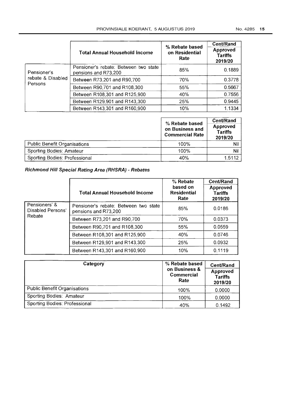|                   | <b>Total Annual Household Income</b>                          | % Rebate based<br>on Residential<br>Rate | <b>Cent/Rand</b><br><b>Approved</b><br><b>Tariffs</b><br>2019/20 |
|-------------------|---------------------------------------------------------------|------------------------------------------|------------------------------------------------------------------|
| Pensioner's       | Pensioner's rebate: Between two state<br>pensions and R73,200 | 85%                                      | 0.1889                                                           |
| rebate & Disabled | Between R73,201 and R90,700                                   | 70%                                      | 0.3778                                                           |
| Persons           | Between R90,701 and R108,300                                  | 55%                                      | 0.5667                                                           |
|                   | Between R108,301 and R125,900                                 | 40%                                      | 0.7556                                                           |
|                   | Between R129,901 and R143,300                                 | 25%                                      | 0.9445                                                           |
|                   | Between R143,301 and R160,900                                 | 10%                                      | 1.1334                                                           |

|                                     | % Rebate based<br>on Business and<br><b>Commercial Rate</b> | Cent/Rand<br>Approved<br><b>Tariffs</b><br>2019/20 |
|-------------------------------------|-------------------------------------------------------------|----------------------------------------------------|
| <b>Public Benefit Organisations</b> | 100%                                                        | Nil                                                |
| Sporting Bodies: Amateur            | 100%                                                        | Nil                                                |
| Sporting Bodies: Professional       | 40%                                                         | 1.5112                                             |

### **Richmond Hi/I Special Rating Area (RHSRA) - Rebates**

|                                    | <b>Total Annual Household Income</b>                          | % Rebate<br>based on<br><b>Residential</b><br>Rate | <b>Cent/Rand</b><br><b>Approved</b><br><b>Tariffs</b><br>2019/20 |
|------------------------------------|---------------------------------------------------------------|----------------------------------------------------|------------------------------------------------------------------|
| Pensioners' &<br>Disabled Persons' | Pensioner's rebate: Between two state<br>pensions and R73,200 | 85%                                                | 0.0186                                                           |
| Rebate                             | Between R73,201 and R90,700                                   | 70%                                                | 0.0373                                                           |
|                                    | Between R90,701 and R108,300                                  | 55%                                                | 0.0559                                                           |
|                                    | Between R108,301 and R125,900                                 | 40%                                                | 0.0746                                                           |
|                                    | Between R129,901 and R143,300                                 | 25%                                                | 0.0932                                                           |
|                                    | Between R143,301 and R160,900                                 | 10%                                                | 0.1119                                                           |

| Category                             | % Rebate based<br>on Business &<br>Commercial<br>Rate | <b>Cent/Rand</b><br>Approved<br><b>Tariffs</b><br>2019/20 |
|--------------------------------------|-------------------------------------------------------|-----------------------------------------------------------|
| Public Benefit Organisations         | 100%                                                  | 0.0000                                                    |
| Sporting Bodies: Amateur             | 100%                                                  | 0.0000                                                    |
| <b>Sporting Bodies: Professional</b> | 40%                                                   | 0.1492                                                    |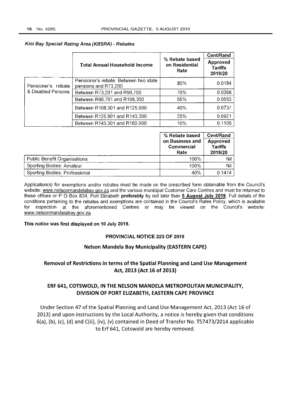#### Kini Bay Special Rating Area (KBSRA) - Rebates

|                    |                                                               |                                          | <b>Cent/Rand</b>                      |
|--------------------|---------------------------------------------------------------|------------------------------------------|---------------------------------------|
|                    | <b>Total Annual Household Income</b>                          | % Rebate based<br>on Residential<br>Rate | Approved<br><b>Tariffs</b><br>2019/20 |
| Pensioner's rebate | Pensioner's rebate: Between two state<br>pensions and R73,200 | 85%                                      | 0.0184                                |
| & Disabled Persons | Between R73,201 and R90,700                                   | 70%                                      | 0.0368                                |
|                    | Between R90,701 and R108,300                                  | 55%                                      | 0.0553                                |
|                    | Between R108,301 and R125,900                                 | 40%                                      | 0.0737                                |
|                    | Between R125,901 and R143,300                                 | 25%                                      | 0.0921                                |
|                    | Between R143,301 and R160,900                                 | 10%                                      | 0.1105                                |

|                                     | % Rebate based<br>on Business and<br>Commercial<br>Rate | <b>Cent/Rand</b><br>Approved<br><b>Tariffs</b><br>2019/20 |
|-------------------------------------|---------------------------------------------------------|-----------------------------------------------------------|
| <b>Public Benefit Organisations</b> | $100\%$                                                 | Nil                                                       |
| Sporting Bodies: Amateur            | 100%                                                    | Nil                                                       |
| Sporting Bodies: Professional       | 40%                                                     | 0.1474                                                    |

Application(s) for exemptions and/or rebates must be made on the prescribed form obtainable from the Council's website: www.nelsonmandelabav.gov.za and the various municipal Customer Care Centres and must be returned to these offices or P O Box 834. Port Elizabeth preferably by not later than 5 August July 2019. Full details of the conditions pertaining to the rebates and exemptions are contained in the Council's Rates Policy, which is available for inspection at the aforementioned Centres or may be viewed on the Council's website: www.nelsonmandelabav.aov.za.

This notice was first displayed on 10 July 2019.

#### PROVINCIAL NOTICE 223 OF 2019

#### Nelson Mandela Bay Municipality (EASTERN CAPE)

### Removal of Restrictions in terms of the Spatial Planning and Land Use Management Act, 2013 (Act 16 of 2013)

### ERF 641, COTSWOLD, IN THE NELSON MANDELA METROPOLITAN MUNICIPALITY, DIVISION OF PORT ELIZABETH, EASTERN CAPE PROVINCE

Under Section 47 of the Spatial Planning and Land Use Management Act, 2013 (Act 16 of 2013) and upon instructions by the Local Authority, a notice is hereby given that conditions 6(a), (b), (c), (d) and C(ii), (iv), (v) contained in Deed of Transfer No. T57473/2014 applicable to Erf 641, Cotswold are hereby removed.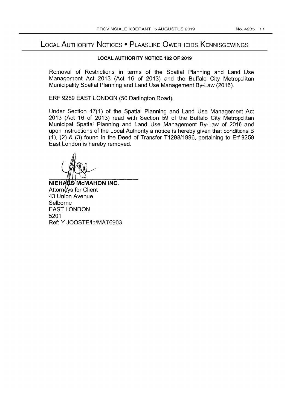## LOCAL AUTHORITY NOTICES • PLAASLIKE OWERHEIDS KENNISGEWINGS

### **LOCAL AUTHORITY NOTICE** 182 **OF** 2019

Removal of Restrictions in terms of the Spatial Planning and Land Use Management Act 2013 (Act 16 of 2013) and the Buffalo City Metropolitan Municipality Spatial Planning and Land Use Management By-Law (2016).

ERF 9259 EAST LONDON (50 Darlington Road).

Under Section 47(1) of the Spatial Planning and Land Use Management Act 2013 (Act 16 of 2013) read with Section 59 of the Buffalo City Metropolitan Municipal Spatial Planning and Land Use Management By-Law of 2016 and upon instructions of the Local Authority a notice is hereby given that conditions B (1), (2) & (3) found in the Deed of Transfer T1298/1996, pertaining to Erf 9259 East London is hereby removed.

NIEHAUS MCMAHON INC. Attorneys for Client 43 Union Avenue Selborne EAST LONDON 5201 Ref: Y JOOSTE/lb/MAT6903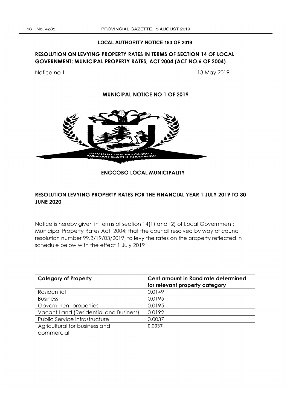#### **LOCAL AUTHORITY NOTICE 183 OF 2019**

### **RESOLUTION ON LEVYING PROPERTY RATES IN TERMS OF SECTION 14 OF LOCAL GOVERNMENT: MUNICIPAL PROPERTY RATES, ACT 2004 (ACT NO.6 OF 2004)**

Notice no 1 13 May 2019

#### **MUNICIPAL NOTICE NO 1 OF 2019**



### **ENGCOBO LOCAL MUNICIPALITY**

### **RESOLUTION LEVYING PROPERTY RATES FOR THE FINANCIAL YEAR 1 JULY 2019 TO 30 JUNE 2020**

Notice is hereby given in terms of section 14(1) and (2) of Local Government: Municipal Property Rates Act, 2004; that the council resolved by way of council resolution number 99.3/19/03/2019, to levy the rates on the property reflected in schedule below with the effect 1 July 2019

| <b>Category of Property</b>            | Cent amount in Rand rate determined |
|----------------------------------------|-------------------------------------|
|                                        | for relevant property category      |
| Residential                            | 0.0149                              |
| <b>Business</b>                        | 0.0195                              |
| Government properties                  | 0.0195                              |
| Vacant Land (Residential and Business) | 0.0192                              |
| Public Service infrastructure          | 0.0037                              |
| Agricultural for business and          | 0.0037                              |
| commercial                             |                                     |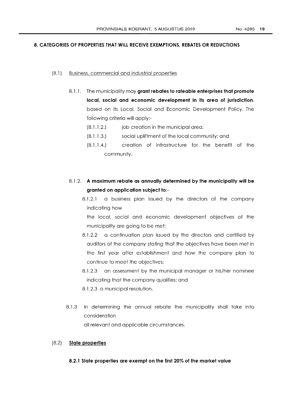#### **8. CATEGORIES OF PROPERTIES THAT WILL RECEIVE EXEMPTIONS, REBATES OR REDUCTIONS**

#### (8.1 ) Business, commercial and industrial properties

- 8.1.1 . The municipality may **grant rebates to rateable enterprises that promote local, social and economic development in its area of jurisdiction,**  based on its Local, Social and Economic Development Policy. The following criteria will apply:-
	- $(8.1.1.2.)$  job creation in the municipal area;
	- (8.1.1.3.) social upliftment of the local community; and
	- (8.1.1.4.) creation of infrastructure for the benefit of the community.
- 8.1 .2. **A maximum rebate as annually determined by the municipality will be granted on application subject to:-**
	- 8.1.2.1 a business plan issued by the directors of the company indicating how

the local, social and economic development objectives of the municipality are going to be met;

- 8.1.2.2 a continuation plan issued by the directors and certified by auditors of the company stating that the objectives have been met in the first year after establishment and how the company plan to continue to meet the objectives;
- 8.1.2.3 an assessment by the municipal manager or his/her nominee indicating that the company qualifies; and
- 8.1.2.3 a municipal resolution.
- 8.1.3 In determining the annual rebate the municipality shall take into consideration all relevant and applicable circumstances.

#### (8.2) **State properties**

#### **8.2.1 State properties are exempt on the first 20% of the market value**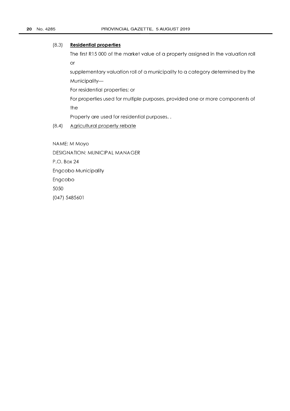#### (8.3) **Residential properties**

The first R15 000 of the market value of a property assigned in the valuation roll or

supplementary valuation roll of a municipality to a category determined by the Municipality-

For residential properties; or

For properties used for multiple purposes, provided one or more components of the

Property are used for residential purposes...

#### (8.4) Agricultural property rebate

NAME: M Moyo

DESIGNATION: MUNICIPAL MANAGER

P.O. Box 24

Engcobo Municipality

Engcobo

5050

(047) 5485601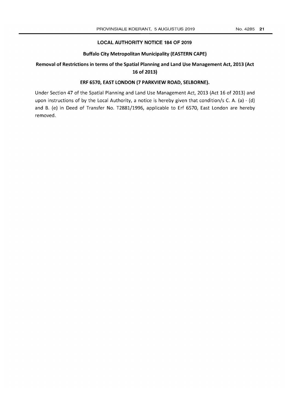#### **LOCAL AUTHORITY NOTICE 184 OF 2019**

#### **Buffalo City Metropolitan Municipality (EASTERN CAPE)**

### **Removal of Restrictions in terms of the Spatial Planning and Land Use Management Act, 2013 (Act 16 of 2013)**

#### **ERF 6570, EAST LONDON (7 PARKVIEW ROAD, SELBORNE).**

Under Section **47** of the Spatial Planning and Land Use Management Act, 2013 (Act 16 of 2013) and upon instructions of by the Local Authority, a notice is hereby given that condition/s C. A. (a) - (d) and B. (e) in Deed of Transfer No. T2881/1996, applicable to Erf 6570, East London are hereby removed.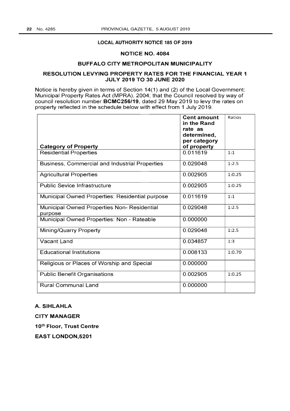#### LOCAL AUTHORITY NOTICE 185 OF 2019

#### NOTICE NO. 4084

#### BUFFALO CITY METROPOLITAN MUNICIPALITY

#### RESOLUTION LEVYING PROPERTY RATES FOR THE FINANCIAL YEAR 1 JULY 2019 TO 30 JUNE 2020

Notice is hereby given in terms of Section 14(1) and (2) of the Local Government: Municipal Property Rates Act (MPRA), 2004; that the Council resolved by way of council resolution number **BCMC256/19**, dated 29 May 2019 to levy the rates on property reflected in the schedule below with effect from 1 July 2019.

|                                                       | <b>Cent amount</b><br>in the Rand<br>rate as | Ratios |
|-------------------------------------------------------|----------------------------------------------|--------|
|                                                       | determined,<br>per category                  |        |
| <b>Category of Property</b>                           | of property                                  |        |
| <b>Residential Properties</b>                         | 0.011619                                     | 1:1    |
| Business, Commercial and Industrial Properties        | 0.029048                                     | 1:2.5  |
| <b>Agricultural Properties</b>                        | 0.002905                                     | 1:0.25 |
| <b>Public Sevice Infrastructure</b>                   | 0.002905                                     | 1:0.25 |
| Municipal Owned Properties: Residential purpose       | 0.011619                                     | 1:1    |
| Municipal Owned Properties Non-Residential<br>purpose | 0.029048                                     | 1:2.5  |
| Municipal Owned Properties: Non - Rateable            | 0.000000                                     |        |
| Mining/Quarry Property                                | 0.029048                                     | 1:2.5  |
| <b>Vacant Land</b>                                    | 0.034857                                     | 1:3    |
| <b>Educational Institutions</b>                       | 0.008133                                     | 1:0.70 |
| Religious or Places of Worship and Special            | 0.000000                                     |        |
| <b>Public Benefit Organisations</b>                   | 0.002905                                     | 1:0.25 |
| <b>Rural Communal Land</b>                            | 0.000000                                     |        |

### A. SIHLAHLA

CITY MANAGER

10th Floor, Trust Centre

EAST LONDON,5201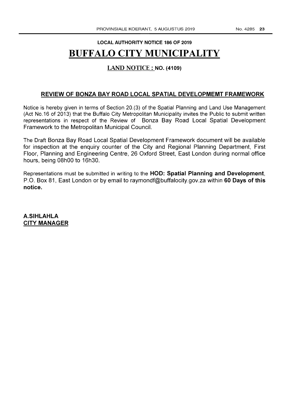# **LOCAL AUTHORITY NOTICE 186 OF 2019 BUFFALO CITY MUNICIPALITY**

### **LAND NOTICE: NO. (4109)**

### **REVIEW OF BONZA BAY ROAD LOCAL SPATIAL DEVELOPMEMT FRAMEWORK**

Notice is hereby given in terms of Section 20.(3) of the Spatial Planning and Land Use Management (Act No.16 of 2013) that the Buffalo City Metropolitan Municipality invites the Public to submit written representations in respect of the Review of Bonza Bay Road Local Spatial Development Framework to the Metropolitan Municipal Council.

The Draft Bonza Bay Road Local Spatial Development Framework document will be available for inspection at the enquiry counter of the City and Regional Planning Department, First Floor, Planning and Engineering Centre, 26 Oxford Street, East London during normal office hours, being D8hDD to 16h3D.

Representations must be submitted in writing to the **HOD: Spatial Planning and Development,**  P.O. Box 81, East London or by email to raymondf@buffalocity.gov.za within **60 Days of this notice.** 

**A.SIHLAHLA CITY MANAGER**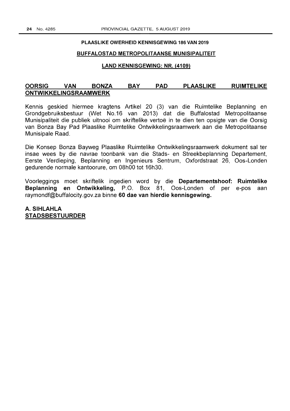#### PLAASLIKE OWERHEID KENNISGEWING 186 VAN 2019

#### BUFFALOSTAD METROPOLITAANSE MUNISIPALITEIT

#### LAND KENNISGEWING: NR. (4109)

### OORSIG VAN BONZA BAY PAD PLAASLIKE RUIMTELIKE ONTWIKKELlNGSRAAMWERK

Kennis geskied hiermee kragtens Artikel 20 (3) van die Ruimtelike Beplanning en Grondgebruiksbestuur (Wet No.16 van 2013) dat die Buffalostad Metropolitaanse Munisipaliteit die publiek uitnooi om skriftelike vertoe in te dien ten opsigte van die Oorsig van Bonza Bay Pad Plaaslike Ruimtelike Ontwikkelingsraamwerk aan die Metropolitaanse Munisipale Raad.

Die Konsep Bonza Bayweg Plaaslike Ruimtelike Ontwikkelingsraamwerk dokument sal ter insae wees by die navrae toonbank van die Stads- en Streekbeplanning Departement, Eerste Verdieping, Beplanning en Ingenieurs Sentrum, Oxfordstraat 26, Oos-Londen gedurende normale kantoorure, om 08hOO tot 16h30.

Voorleggings moet skriftelik ingedien word by die Departementshoof: Ruimtelike Beplanning en Ontwikkeling, P.O. Box 81, Oos-Londen of per e-pos aan raymondf@buffalocity.gov.za binne 60 dae van hierdie kennisgewing.

A.SIHLAHLA STADSBESTUURDER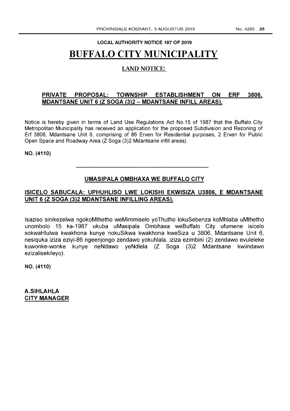#### **LOCAL AUTHORITY NOTICE 187 OF 2019**

# **BUFFALO CITY MUNICIPALITY**

### **LAND NOTICE:**

### **PRIVATE PROPOSAL: TOWNSHIP ESTABLISHMENT ON ERF 3806, MDANTSANE UNIT 6 (Z SOGA (3)2 - MDANTSANE INFILL AREAS).**

Notice is hereby given in terms of Land Use Regulations Act No.1S of 1987 that the Buffalo City Metropolitan Municipality has received an application for the proposed Subdivision and Rezoning of Erf 3806, Mdantsane Unit 6, comprising of 86 Erven for Residential purposes, 2 Erven for Public Open Space and Roadway Area (Z Soga (3)2 Mdantsane infill areas).

#### **NO. (4110)**

### **UMASIPALA OMBHAXA WE BUFFALO CITY**

### **ISICELO SABUCALA: UPHUHLlSO LWE LOKISHI EKWISIZA U3806, E MDANTSANE UNIT 6 (Z SOGA (3)2 MDANTSANE INFILLING AREAS).**

Isaziso sinikezelwa ngokoMthetho weMimmiselo yoThutho 10kuSebenza koMhlaba uMthetho unombolo 15 ka-1987 ukuba uMasipala Ombhaxa weBuffalo City ufumene isicelo sokwaHlulwa kwakhona kunye nokuSikwa kwakhona kweSiza u 3806, Mdantsane Unit 6, nesiquka iziza eziyi-86 ngeenjongo zendawo yokuhlala, iziza ezimbini (2) zendawo evuleleke kuwonke-wonke kunye neNdawo yeNdlela (Z Soga (3)2 Mdantsane kwiindawo ezizalisekileyo).

**NO. (4110)** 

**A.SIHLAHLA CITY MANAGER**